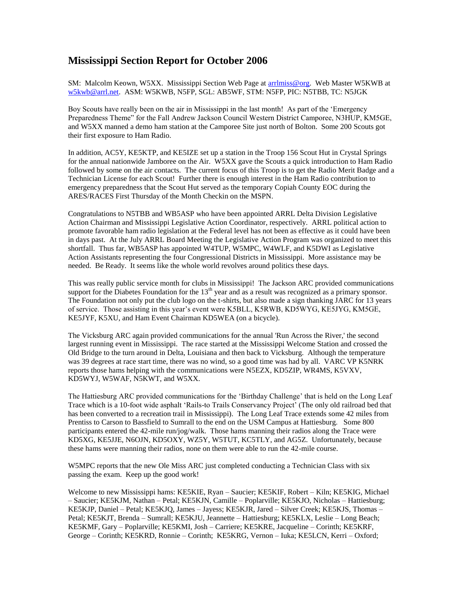## **Mississippi Section Report for October 2006**

SM: Malcolm Keown, W5XX. Mississippi Section Web Page at [arrlmiss@org.](mailto:arrlmiss@org) Web Master W5KWB at [w5kwb@arrl.net.](mailto:w5kwb@arrl.net) ASM: W5KWB, N5FP, SGL: AB5WF, STM: N5FP, PIC: N5TBB, TC: N5JGK

Boy Scouts have really been on the air in Mississippi in the last month! As part of the 'Emergency Preparedness Theme" for the Fall Andrew Jackson Council Western District Camporee, N3HUP, KM5GE, and W5XX manned a demo ham station at the Camporee Site just north of Bolton. Some 200 Scouts got their first exposure to Ham Radio.

In addition, AC5Y, KE5KTP, and KE5IZE set up a station in the Troop 156 Scout Hut in Crystal Springs for the annual nationwide Jamboree on the Air. W5XX gave the Scouts a quick introduction to Ham Radio followed by some on the air contacts. The current focus of this Troop is to get the Radio Merit Badge and a Technician License for each Scout! Further there is enough interest in the Ham Radio contribution to emergency preparedness that the Scout Hut served as the temporary Copiah County EOC during the ARES/RACES First Thursday of the Month Checkin on the MSPN.

Congratulations to N5TBB and WB5ASP who have been appointed ARRL Delta Division Legislative Action Chairman and Mississippi Legislative Action Coordinator, respectively. ARRL political action to promote favorable ham radio legislation at the Federal level has not been as effective as it could have been in days past. At the July ARRL Board Meeting the Legislative Action Program was organized to meet this shortfall. Thus far, WB5ASP has appointed W4TUP, W5MPC, W4WLF, and K5DWI as Legislative Action Assistants representing the four Congressional Districts in Mississippi. More assistance may be needed. Be Ready. It seems like the whole world revolves around politics these days.

This was really public service month for clubs in Mississippi! The Jackson ARC provided communications support for the Diabetes Foundation for the  $13<sup>th</sup>$  year and as a result was recognized as a primary sponsor. The Foundation not only put the club logo on the t-shirts, but also made a sign thanking JARC for 13 years of service. Those assisting in this year's event were K5BLL, K5RWB, KD5WYG, KE5JYG, KM5GE, KE5JYF, K5XU, and Ham Event Chairman KD5WEA (on a bicycle).

The Vicksburg ARC again provided communications for the annual 'Run Across the River,' the second largest running event in Mississippi. The race started at the Mississippi Welcome Station and crossed the Old Bridge to the turn around in Delta, Louisiana and then back to Vicksburg. Although the temperature was 39 degrees at race start time, there was no wind, so a good time was had by all. VARC VP K5NRK reports those hams helping with the communications were N5EZX, KD5ZIP, WR4MS, K5VXV, KD5WYJ, W5WAF, N5KWT, and W5XX.

The Hattiesburg ARC provided communications for the 'Birthday Challenge' that is held on the Long Leaf Trace which is a 10-foot wide asphalt 'Rails-to Trails Conservancy Project' (The only old railroad bed that has been converted to a recreation trail in Mississippi). The Long Leaf Trace extends some 42 miles from Prentiss to Carson to Bassfield to Sumrall to the end on the USM Campus at Hattiesburg. Some 800 participants entered the 42-mile run/jog/walk. Those hams manning their radios along the Trace were KD5XG, KE5JJE, N6OJN, KD5OXY, WZ5Y, W5TUT, KC5TLY, and AG5Z. Unfortunately, because these hams were manning their radios, none on them were able to run the 42-mile course.

W5MPC reports that the new Ole Miss ARC just completed conducting a Technician Class with six passing the exam. Keep up the good work!

Welcome to new Mississippi hams: KE5KIE, Ryan – Saucier; KE5KIF, Robert – Kiln; KE5KIG, Michael – Saucier; KE5KJM, Nathan – Petal; KE5KJN, Camille – Poplarville; KE5KJO, Nicholas – Hattiesburg; KE5KJP, Daniel – Petal; KE5KJQ, James – Jayess; KE5KJR, Jared – Silver Creek; KE5KJS, Thomas – Petal; KE5KJT, Brenda – Sumrall; KE5KJU, Jeannette – Hattiesburg; KE5KLX, Leslie – Long Beach; KE5KMF, Gary – Poplarville; KE5KMI, Josh – Carriere; KE5KRE, Jacqueline – Corinth; KE5KRF, George – Corinth; KE5KRD, Ronnie – Corinth; KE5KRG, Vernon – Iuka; KE5LCN, Kerri – Oxford;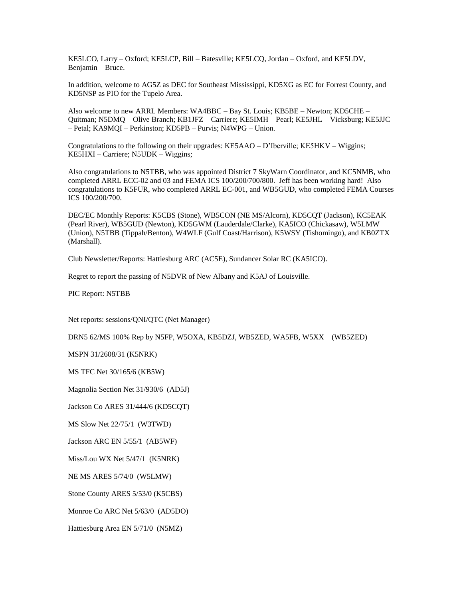KE5LCO, Larry – Oxford; KE5LCP, Bill – Batesville; KE5LCQ, Jordan – Oxford, and KE5LDV, Benjamin – Bruce.

In addition, welcome to AG5Z as DEC for Southeast Mississippi, KD5XG as EC for Forrest County, and KD5NSP as PIO for the Tupelo Area.

Also welcome to new ARRL Members: WA4BBC – Bay St. Louis; KB5BE – Newton; KD5CHE – Quitman; N5DMQ – Olive Branch; KB1JFZ – Carriere; KE5IMH – Pearl; KE5JHL – Vicksburg; KE5JJC – Petal; KA9MQI – Perkinston; KD5PB – Purvis; N4WPG – Union.

Congratulations to the following on their upgrades: KE5AAO – D'Iberville; KE5HKV – Wiggins; KE5HXI – Carriere; N5UDK – Wiggins;

Also congratulations to N5TBB, who was appointed District 7 SkyWarn Coordinator, and KC5NMB, who completed ARRL ECC-02 and 03 and FEMA ICS 100/200/700/800. Jeff has been working hard! Also congratulations to K5FUR, who completed ARRL EC-001, and WB5GUD, who completed FEMA Courses ICS 100/200/700.

DEC/EC Monthly Reports: K5CBS (Stone), WB5CON (NE MS/Alcorn), KD5CQT (Jackson), KC5EAK (Pearl River), WB5GUD (Newton), KD5GWM (Lauderdale/Clarke), KA5ICO (Chickasaw), W5LMW (Union), N5TBB (Tippah/Benton), W4WLF (Gulf Coast/Harrison), K5WSY (Tishomingo), and KB0ZTX (Marshall).

Club Newsletter/Reports: Hattiesburg ARC (AC5E), Sundancer Solar RC (KA5ICO).

Regret to report the passing of N5DVR of New Albany and K5AJ of Louisville.

PIC Report: N5TBB

Net reports: sessions/QNI/QTC (Net Manager)

DRN5 62/MS 100% Rep by N5FP, W5OXA, KB5DZJ, WB5ZED, WA5FB, W5XX (WB5ZED)

MSPN 31/2608/31 (K5NRK)

MS TFC Net 30/165/6 (KB5W)

Magnolia Section Net 31/930/6 (AD5J)

Jackson Co ARES 31/444/6 (KD5CQT)

MS Slow Net 22/75/1 (W3TWD)

Jackson ARC EN 5/55/1 (AB5WF)

Miss/Lou WX Net 5/47/1 (K5NRK)

NE MS ARES 5/74/0 (W5LMW)

Stone County ARES 5/53/0 (K5CBS)

Monroe Co ARC Net 5/63/0 (AD5DO)

Hattiesburg Area EN 5/71/0 (N5MZ)